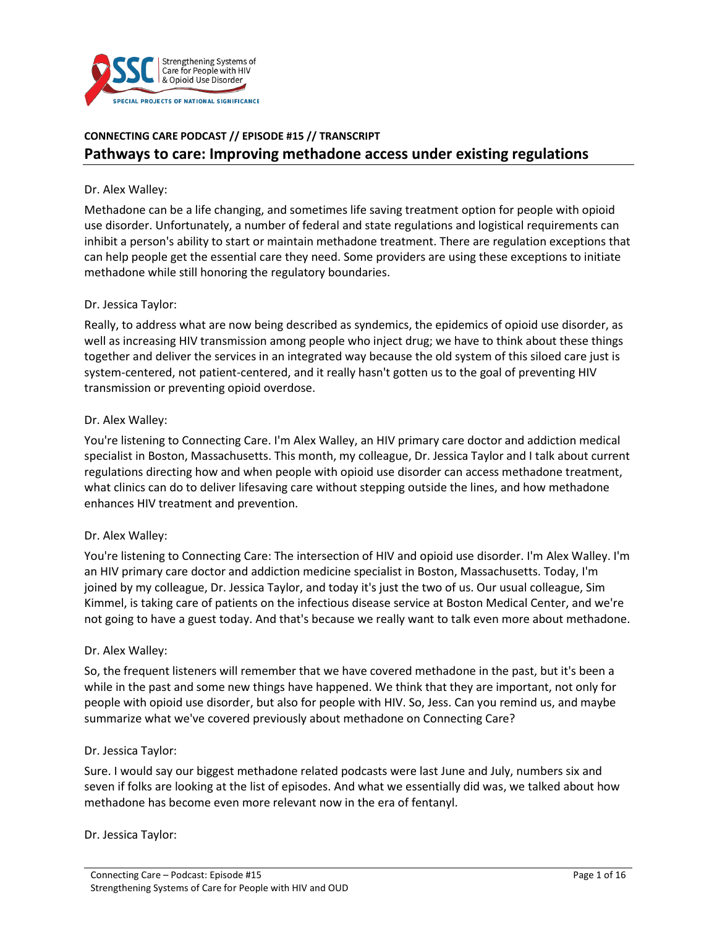

# **CONNECTING CARE PODCAST // EPISODE #15 // TRANSCRIPT Pathways to care: Improving methadone access under existing regulations**

#### Dr. Alex Walley:

Methadone can be a life changing, and sometimes life saving treatment option for people with opioid use disorder. Unfortunately, a number of federal and state regulations and logistical requirements can inhibit a person's ability to start or maintain methadone treatment. There are regulation exceptions that can help people get the essential care they need. Some providers are using these exceptions to initiate methadone while still honoring the regulatory boundaries.

#### Dr. Jessica Taylor:

Really, to address what are now being described as syndemics, the epidemics of opioid use disorder, as well as increasing HIV transmission among people who inject drug; we have to think about these things together and deliver the services in an integrated way because the old system of this siloed care just is system-centered, not patient-centered, and it really hasn't gotten us to the goal of preventing HIV transmission or preventing opioid overdose.

#### Dr. Alex Walley:

You're listening to Connecting Care. I'm Alex Walley, an HIV primary care doctor and addiction medical specialist in Boston, Massachusetts. This month, my colleague, Dr. Jessica Taylor and I talk about current regulations directing how and when people with opioid use disorder can access methadone treatment, what clinics can do to deliver lifesaving care without stepping outside the lines, and how methadone enhances HIV treatment and prevention.

#### Dr. Alex Walley:

You're listening to Connecting Care: The intersection of HIV and opioid use disorder. I'm Alex Walley. I'm an HIV primary care doctor and addiction medicine specialist in Boston, Massachusetts. Today, I'm joined by my colleague, Dr. Jessica Taylor, and today it's just the two of us. Our usual colleague, Sim Kimmel, is taking care of patients on the infectious disease service at Boston Medical Center, and we're not going to have a guest today. And that's because we really want to talk even more about methadone.

#### Dr. Alex Walley:

So, the frequent listeners will remember that we have covered methadone in the past, but it's been a while in the past and some new things have happened. We think that they are important, not only for people with opioid use disorder, but also for people with HIV. So, Jess. Can you remind us, and maybe summarize what we've covered previously about methadone on Connecting Care?

#### Dr. Jessica Taylor:

Sure. I would say our biggest methadone related podcasts were last June and July, numbers six and seven if folks are looking at the list of episodes. And what we essentially did was, we talked about how methadone has become even more relevant now in the era of fentanyl.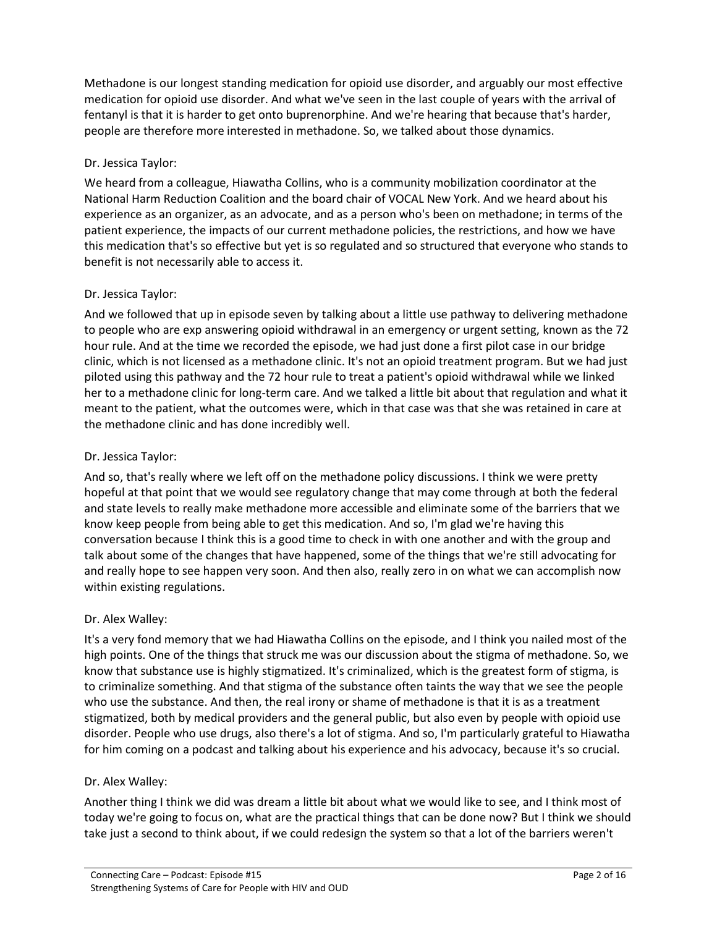Methadone is our longest standing medication for opioid use disorder, and arguably our most effective medication for opioid use disorder. And what we've seen in the last couple of years with the arrival of fentanyl is that it is harder to get onto buprenorphine. And we're hearing that because that's harder, people are therefore more interested in methadone. So, we talked about those dynamics.

## Dr. Jessica Taylor:

We heard from a colleague, Hiawatha Collins, who is a community mobilization coordinator at the National Harm Reduction Coalition and the board chair of VOCAL New York. And we heard about his experience as an organizer, as an advocate, and as a person who's been on methadone; in terms of the patient experience, the impacts of our current methadone policies, the restrictions, and how we have this medication that's so effective but yet is so regulated and so structured that everyone who stands to benefit is not necessarily able to access it.

## Dr. Jessica Taylor:

And we followed that up in episode seven by talking about a little use pathway to delivering methadone to people who are exp answering opioid withdrawal in an emergency or urgent setting, known as the 72 hour rule. And at the time we recorded the episode, we had just done a first pilot case in our bridge clinic, which is not licensed as a methadone clinic. It's not an opioid treatment program. But we had just piloted using this pathway and the 72 hour rule to treat a patient's opioid withdrawal while we linked her to a methadone clinic for long-term care. And we talked a little bit about that regulation and what it meant to the patient, what the outcomes were, which in that case was that she was retained in care at the methadone clinic and has done incredibly well.

## Dr. Jessica Taylor:

And so, that's really where we left off on the methadone policy discussions. I think we were pretty hopeful at that point that we would see regulatory change that may come through at both the federal and state levels to really make methadone more accessible and eliminate some of the barriers that we know keep people from being able to get this medication. And so, I'm glad we're having this conversation because I think this is a good time to check in with one another and with the group and talk about some of the changes that have happened, some of the things that we're still advocating for and really hope to see happen very soon. And then also, really zero in on what we can accomplish now within existing regulations.

## Dr. Alex Walley:

It's a very fond memory that we had Hiawatha Collins on the episode, and I think you nailed most of the high points. One of the things that struck me was our discussion about the stigma of methadone. So, we know that substance use is highly stigmatized. It's criminalized, which is the greatest form of stigma, is to criminalize something. And that stigma of the substance often taints the way that we see the people who use the substance. And then, the real irony or shame of methadone is that it is as a treatment stigmatized, both by medical providers and the general public, but also even by people with opioid use disorder. People who use drugs, also there's a lot of stigma. And so, I'm particularly grateful to Hiawatha for him coming on a podcast and talking about his experience and his advocacy, because it's so crucial.

## Dr. Alex Walley:

Another thing I think we did was dream a little bit about what we would like to see, and I think most of today we're going to focus on, what are the practical things that can be done now? But I think we should take just a second to think about, if we could redesign the system so that a lot of the barriers weren't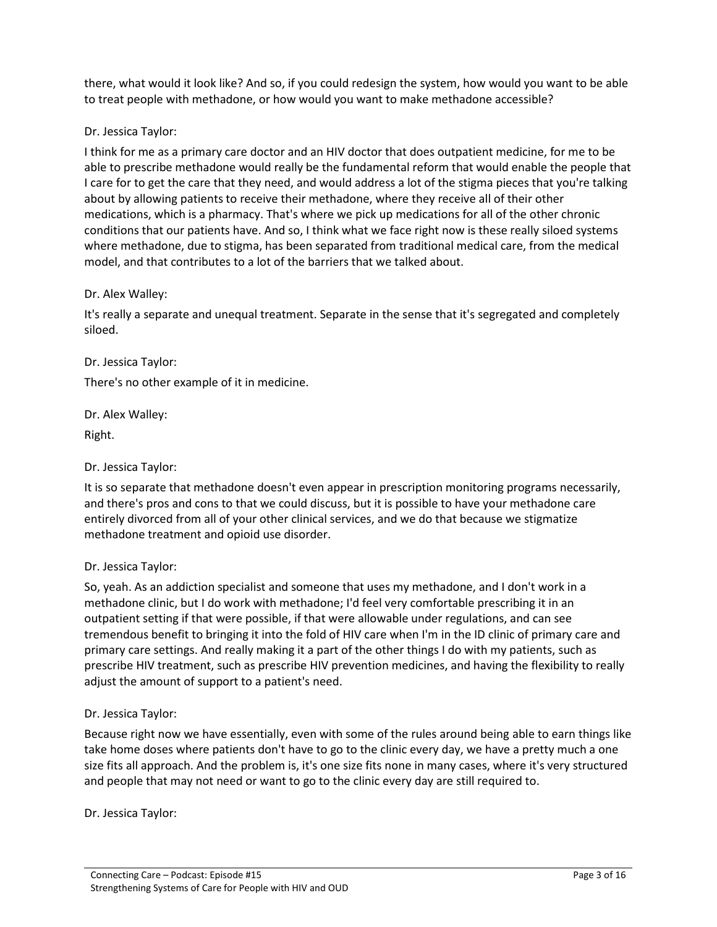there, what would it look like? And so, if you could redesign the system, how would you want to be able to treat people with methadone, or how would you want to make methadone accessible?

#### Dr. Jessica Taylor:

I think for me as a primary care doctor and an HIV doctor that does outpatient medicine, for me to be able to prescribe methadone would really be the fundamental reform that would enable the people that I care for to get the care that they need, and would address a lot of the stigma pieces that you're talking about by allowing patients to receive their methadone, where they receive all of their other medications, which is a pharmacy. That's where we pick up medications for all of the other chronic conditions that our patients have. And so, I think what we face right now is these really siloed systems where methadone, due to stigma, has been separated from traditional medical care, from the medical model, and that contributes to a lot of the barriers that we talked about.

#### Dr. Alex Walley:

It's really a separate and unequal treatment. Separate in the sense that it's segregated and completely siloed.

Dr. Jessica Taylor:

There's no other example of it in medicine.

Dr. Alex Walley:

Right.

Dr. Jessica Taylor:

It is so separate that methadone doesn't even appear in prescription monitoring programs necessarily, and there's pros and cons to that we could discuss, but it is possible to have your methadone care entirely divorced from all of your other clinical services, and we do that because we stigmatize methadone treatment and opioid use disorder.

#### Dr. Jessica Taylor:

So, yeah. As an addiction specialist and someone that uses my methadone, and I don't work in a methadone clinic, but I do work with methadone; I'd feel very comfortable prescribing it in an outpatient setting if that were possible, if that were allowable under regulations, and can see tremendous benefit to bringing it into the fold of HIV care when I'm in the ID clinic of primary care and primary care settings. And really making it a part of the other things I do with my patients, such as prescribe HIV treatment, such as prescribe HIV prevention medicines, and having the flexibility to really adjust the amount of support to a patient's need.

#### Dr. Jessica Taylor:

Because right now we have essentially, even with some of the rules around being able to earn things like take home doses where patients don't have to go to the clinic every day, we have a pretty much a one size fits all approach. And the problem is, it's one size fits none in many cases, where it's very structured and people that may not need or want to go to the clinic every day are still required to.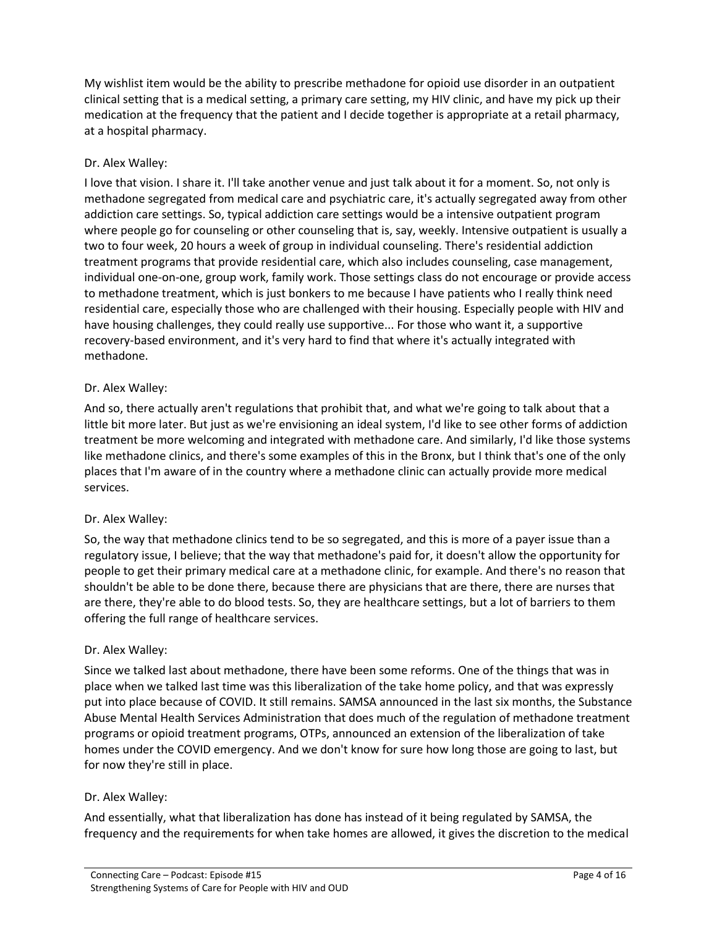My wishlist item would be the ability to prescribe methadone for opioid use disorder in an outpatient clinical setting that is a medical setting, a primary care setting, my HIV clinic, and have my pick up their medication at the frequency that the patient and I decide together is appropriate at a retail pharmacy, at a hospital pharmacy.

## Dr. Alex Walley:

I love that vision. I share it. I'll take another venue and just talk about it for a moment. So, not only is methadone segregated from medical care and psychiatric care, it's actually segregated away from other addiction care settings. So, typical addiction care settings would be a intensive outpatient program where people go for counseling or other counseling that is, say, weekly. Intensive outpatient is usually a two to four week, 20 hours a week of group in individual counseling. There's residential addiction treatment programs that provide residential care, which also includes counseling, case management, individual one-on-one, group work, family work. Those settings class do not encourage or provide access to methadone treatment, which is just bonkers to me because I have patients who I really think need residential care, especially those who are challenged with their housing. Especially people with HIV and have housing challenges, they could really use supportive... For those who want it, a supportive recovery-based environment, and it's very hard to find that where it's actually integrated with methadone.

### Dr. Alex Walley:

And so, there actually aren't regulations that prohibit that, and what we're going to talk about that a little bit more later. But just as we're envisioning an ideal system, I'd like to see other forms of addiction treatment be more welcoming and integrated with methadone care. And similarly, I'd like those systems like methadone clinics, and there's some examples of this in the Bronx, but I think that's one of the only places that I'm aware of in the country where a methadone clinic can actually provide more medical services.

## Dr. Alex Walley:

So, the way that methadone clinics tend to be so segregated, and this is more of a payer issue than a regulatory issue, I believe; that the way that methadone's paid for, it doesn't allow the opportunity for people to get their primary medical care at a methadone clinic, for example. And there's no reason that shouldn't be able to be done there, because there are physicians that are there, there are nurses that are there, they're able to do blood tests. So, they are healthcare settings, but a lot of barriers to them offering the full range of healthcare services.

## Dr. Alex Walley:

Since we talked last about methadone, there have been some reforms. One of the things that was in place when we talked last time was this liberalization of the take home policy, and that was expressly put into place because of COVID. It still remains. SAMSA announced in the last six months, the Substance Abuse Mental Health Services Administration that does much of the regulation of methadone treatment programs or opioid treatment programs, OTPs, announced an extension of the liberalization of take homes under the COVID emergency. And we don't know for sure how long those are going to last, but for now they're still in place.

#### Dr. Alex Walley:

And essentially, what that liberalization has done has instead of it being regulated by SAMSA, the frequency and the requirements for when take homes are allowed, it gives the discretion to the medical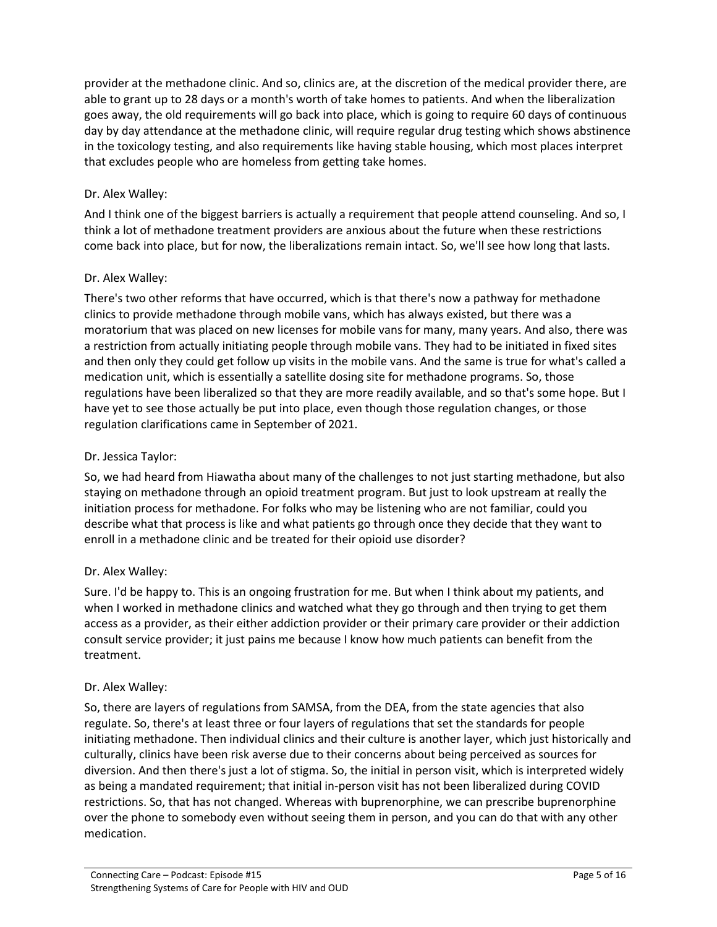provider at the methadone clinic. And so, clinics are, at the discretion of the medical provider there, are able to grant up to 28 days or a month's worth of take homes to patients. And when the liberalization goes away, the old requirements will go back into place, which is going to require 60 days of continuous day by day attendance at the methadone clinic, will require regular drug testing which shows abstinence in the toxicology testing, and also requirements like having stable housing, which most places interpret that excludes people who are homeless from getting take homes.

## Dr. Alex Walley:

And I think one of the biggest barriers is actually a requirement that people attend counseling. And so, I think a lot of methadone treatment providers are anxious about the future when these restrictions come back into place, but for now, the liberalizations remain intact. So, we'll see how long that lasts.

### Dr. Alex Walley:

There's two other reforms that have occurred, which is that there's now a pathway for methadone clinics to provide methadone through mobile vans, which has always existed, but there was a moratorium that was placed on new licenses for mobile vans for many, many years. And also, there was a restriction from actually initiating people through mobile vans. They had to be initiated in fixed sites and then only they could get follow up visits in the mobile vans. And the same is true for what's called a medication unit, which is essentially a satellite dosing site for methadone programs. So, those regulations have been liberalized so that they are more readily available, and so that's some hope. But I have yet to see those actually be put into place, even though those regulation changes, or those regulation clarifications came in September of 2021.

### Dr. Jessica Taylor:

So, we had heard from Hiawatha about many of the challenges to not just starting methadone, but also staying on methadone through an opioid treatment program. But just to look upstream at really the initiation process for methadone. For folks who may be listening who are not familiar, could you describe what that process is like and what patients go through once they decide that they want to enroll in a methadone clinic and be treated for their opioid use disorder?

#### Dr. Alex Walley:

Sure. I'd be happy to. This is an ongoing frustration for me. But when I think about my patients, and when I worked in methadone clinics and watched what they go through and then trying to get them access as a provider, as their either addiction provider or their primary care provider or their addiction consult service provider; it just pains me because I know how much patients can benefit from the treatment.

#### Dr. Alex Walley:

So, there are layers of regulations from SAMSA, from the DEA, from the state agencies that also regulate. So, there's at least three or four layers of regulations that set the standards for people initiating methadone. Then individual clinics and their culture is another layer, which just historically and culturally, clinics have been risk averse due to their concerns about being perceived as sources for diversion. And then there's just a lot of stigma. So, the initial in person visit, which is interpreted widely as being a mandated requirement; that initial in-person visit has not been liberalized during COVID restrictions. So, that has not changed. Whereas with buprenorphine, we can prescribe buprenorphine over the phone to somebody even without seeing them in person, and you can do that with any other medication.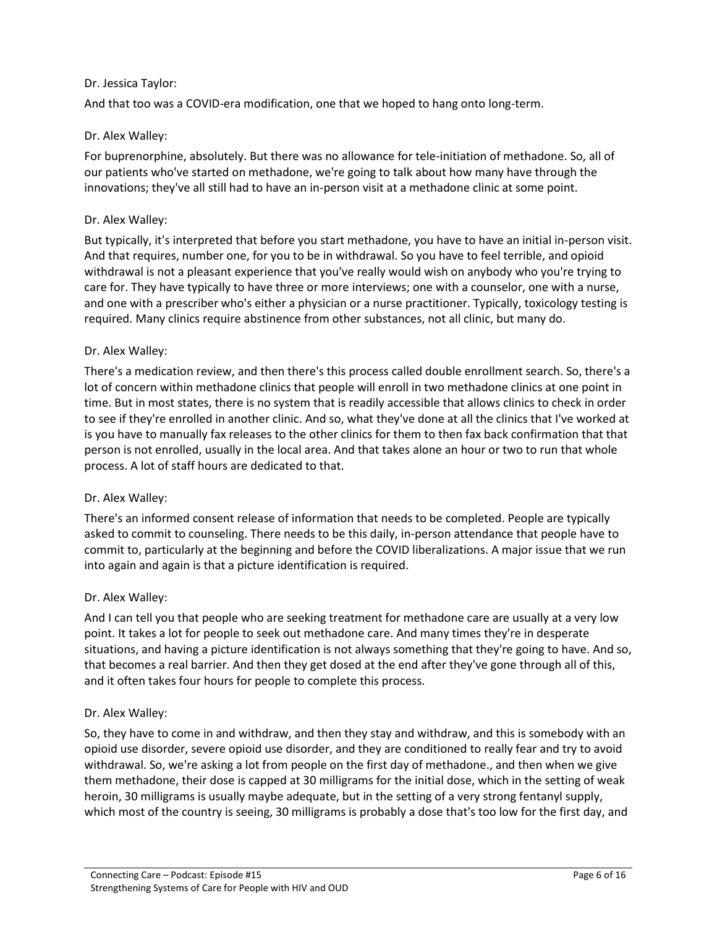### Dr. Jessica Taylor:

And that too was a COVID-era modification, one that we hoped to hang onto long-term.

### Dr. Alex Walley:

For buprenorphine, absolutely. But there was no allowance for tele-initiation of methadone. So, all of our patients who've started on methadone, we're going to talk about how many have through the innovations; they've all still had to have an in-person visit at a methadone clinic at some point.

#### Dr. Alex Walley:

But typically, it's interpreted that before you start methadone, you have to have an initial in-person visit. And that requires, number one, for you to be in withdrawal. So you have to feel terrible, and opioid withdrawal is not a pleasant experience that you've really would wish on anybody who you're trying to care for. They have typically to have three or more interviews; one with a counselor, one with a nurse, and one with a prescriber who's either a physician or a nurse practitioner. Typically, toxicology testing is required. Many clinics require abstinence from other substances, not all clinic, but many do.

### Dr. Alex Walley:

There's a medication review, and then there's this process called double enrollment search. So, there's a lot of concern within methadone clinics that people will enroll in two methadone clinics at one point in time. But in most states, there is no system that is readily accessible that allows clinics to check in order to see if they're enrolled in another clinic. And so, what they've done at all the clinics that I've worked at is you have to manually fax releases to the other clinics for them to then fax back confirmation that that person is not enrolled, usually in the local area. And that takes alone an hour or two to run that whole process. A lot of staff hours are dedicated to that.

#### Dr. Alex Walley:

There's an informed consent release of information that needs to be completed. People are typically asked to commit to counseling. There needs to be this daily, in-person attendance that people have to commit to, particularly at the beginning and before the COVID liberalizations. A major issue that we run into again and again is that a picture identification is required.

#### Dr. Alex Walley:

And I can tell you that people who are seeking treatment for methadone care are usually at a very low point. It takes a lot for people to seek out methadone care. And many times they're in desperate situations, and having a picture identification is not always something that they're going to have. And so, that becomes a real barrier. And then they get dosed at the end after they've gone through all of this, and it often takes four hours for people to complete this process.

#### Dr. Alex Walley:

So, they have to come in and withdraw, and then they stay and withdraw, and this is somebody with an opioid use disorder, severe opioid use disorder, and they are conditioned to really fear and try to avoid withdrawal. So, we're asking a lot from people on the first day of methadone., and then when we give them methadone, their dose is capped at 30 milligrams for the initial dose, which in the setting of weak heroin, 30 milligrams is usually maybe adequate, but in the setting of a very strong fentanyl supply, which most of the country is seeing, 30 milligrams is probably a dose that's too low for the first day, and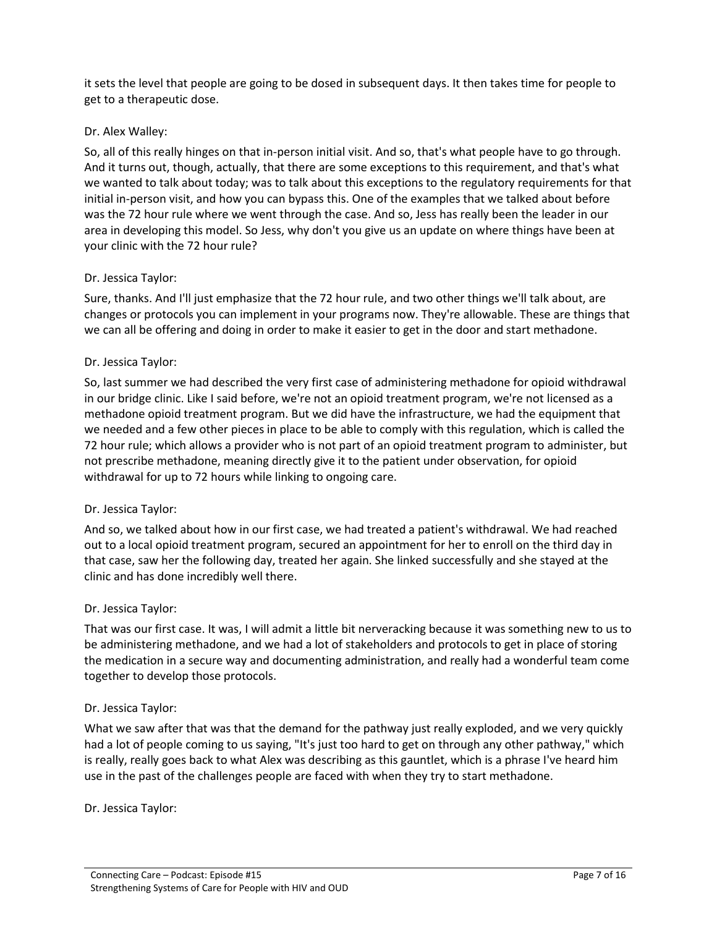it sets the level that people are going to be dosed in subsequent days. It then takes time for people to get to a therapeutic dose.

### Dr. Alex Walley:

So, all of this really hinges on that in-person initial visit. And so, that's what people have to go through. And it turns out, though, actually, that there are some exceptions to this requirement, and that's what we wanted to talk about today; was to talk about this exceptions to the regulatory requirements for that initial in-person visit, and how you can bypass this. One of the examples that we talked about before was the 72 hour rule where we went through the case. And so, Jess has really been the leader in our area in developing this model. So Jess, why don't you give us an update on where things have been at your clinic with the 72 hour rule?

#### Dr. Jessica Taylor:

Sure, thanks. And I'll just emphasize that the 72 hour rule, and two other things we'll talk about, are changes or protocols you can implement in your programs now. They're allowable. These are things that we can all be offering and doing in order to make it easier to get in the door and start methadone.

#### Dr. Jessica Taylor:

So, last summer we had described the very first case of administering methadone for opioid withdrawal in our bridge clinic. Like I said before, we're not an opioid treatment program, we're not licensed as a methadone opioid treatment program. But we did have the infrastructure, we had the equipment that we needed and a few other pieces in place to be able to comply with this regulation, which is called the 72 hour rule; which allows a provider who is not part of an opioid treatment program to administer, but not prescribe methadone, meaning directly give it to the patient under observation, for opioid withdrawal for up to 72 hours while linking to ongoing care.

#### Dr. Jessica Taylor:

And so, we talked about how in our first case, we had treated a patient's withdrawal. We had reached out to a local opioid treatment program, secured an appointment for her to enroll on the third day in that case, saw her the following day, treated her again. She linked successfully and she stayed at the clinic and has done incredibly well there.

#### Dr. Jessica Taylor:

That was our first case. It was, I will admit a little bit nerveracking because it was something new to us to be administering methadone, and we had a lot of stakeholders and protocols to get in place of storing the medication in a secure way and documenting administration, and really had a wonderful team come together to develop those protocols.

#### Dr. Jessica Taylor:

What we saw after that was that the demand for the pathway just really exploded, and we very quickly had a lot of people coming to us saying, "It's just too hard to get on through any other pathway," which is really, really goes back to what Alex was describing as this gauntlet, which is a phrase I've heard him use in the past of the challenges people are faced with when they try to start methadone.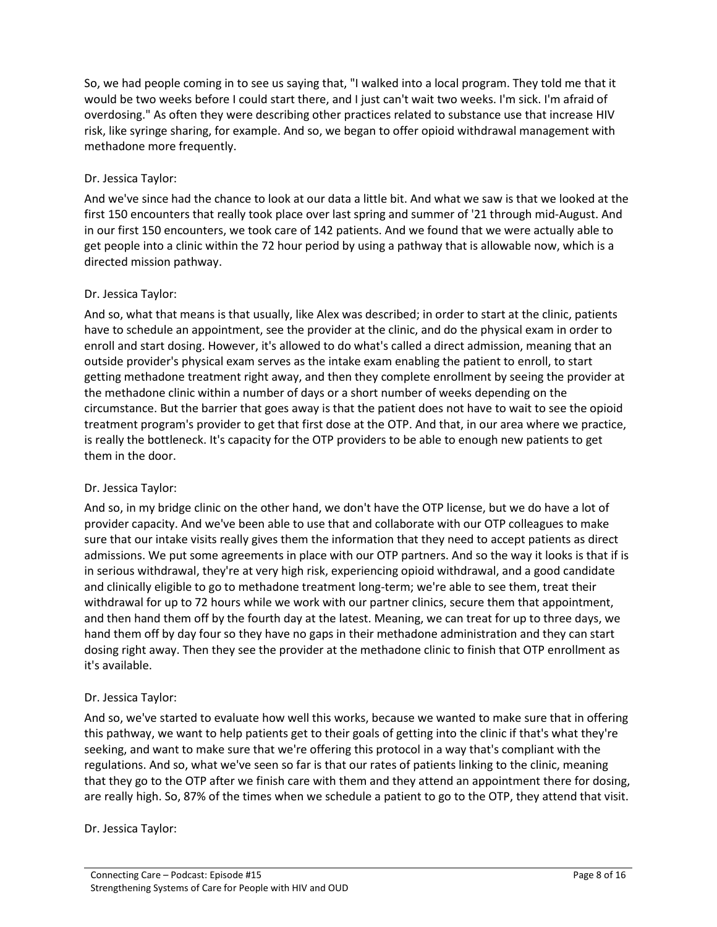So, we had people coming in to see us saying that, "I walked into a local program. They told me that it would be two weeks before I could start there, and I just can't wait two weeks. I'm sick. I'm afraid of overdosing." As often they were describing other practices related to substance use that increase HIV risk, like syringe sharing, for example. And so, we began to offer opioid withdrawal management with methadone more frequently.

### Dr. Jessica Taylor:

And we've since had the chance to look at our data a little bit. And what we saw is that we looked at the first 150 encounters that really took place over last spring and summer of '21 through mid-August. And in our first 150 encounters, we took care of 142 patients. And we found that we were actually able to get people into a clinic within the 72 hour period by using a pathway that is allowable now, which is a directed mission pathway.

#### Dr. Jessica Taylor:

And so, what that means is that usually, like Alex was described; in order to start at the clinic, patients have to schedule an appointment, see the provider at the clinic, and do the physical exam in order to enroll and start dosing. However, it's allowed to do what's called a direct admission, meaning that an outside provider's physical exam serves as the intake exam enabling the patient to enroll, to start getting methadone treatment right away, and then they complete enrollment by seeing the provider at the methadone clinic within a number of days or a short number of weeks depending on the circumstance. But the barrier that goes away is that the patient does not have to wait to see the opioid treatment program's provider to get that first dose at the OTP. And that, in our area where we practice, is really the bottleneck. It's capacity for the OTP providers to be able to enough new patients to get them in the door.

#### Dr. Jessica Taylor:

And so, in my bridge clinic on the other hand, we don't have the OTP license, but we do have a lot of provider capacity. And we've been able to use that and collaborate with our OTP colleagues to make sure that our intake visits really gives them the information that they need to accept patients as direct admissions. We put some agreements in place with our OTP partners. And so the way it looks is that if is in serious withdrawal, they're at very high risk, experiencing opioid withdrawal, and a good candidate and clinically eligible to go to methadone treatment long-term; we're able to see them, treat their withdrawal for up to 72 hours while we work with our partner clinics, secure them that appointment, and then hand them off by the fourth day at the latest. Meaning, we can treat for up to three days, we hand them off by day four so they have no gaps in their methadone administration and they can start dosing right away. Then they see the provider at the methadone clinic to finish that OTP enrollment as it's available.

## Dr. Jessica Taylor:

And so, we've started to evaluate how well this works, because we wanted to make sure that in offering this pathway, we want to help patients get to their goals of getting into the clinic if that's what they're seeking, and want to make sure that we're offering this protocol in a way that's compliant with the regulations. And so, what we've seen so far is that our rates of patients linking to the clinic, meaning that they go to the OTP after we finish care with them and they attend an appointment there for dosing, are really high. So, 87% of the times when we schedule a patient to go to the OTP, they attend that visit.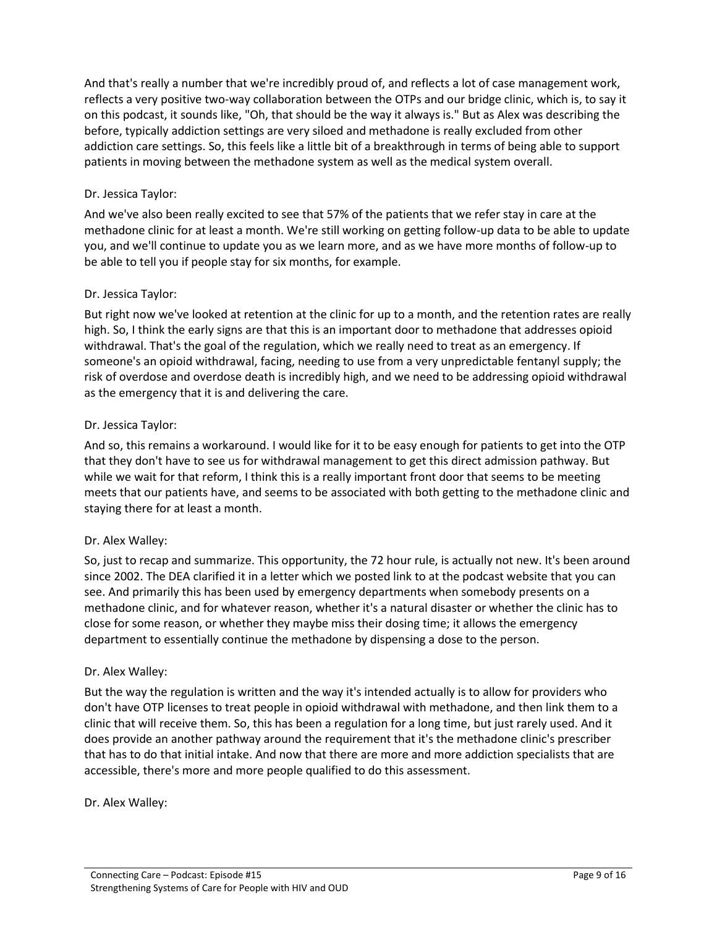And that's really a number that we're incredibly proud of, and reflects a lot of case management work, reflects a very positive two-way collaboration between the OTPs and our bridge clinic, which is, to say it on this podcast, it sounds like, "Oh, that should be the way it always is." But as Alex was describing the before, typically addiction settings are very siloed and methadone is really excluded from other addiction care settings. So, this feels like a little bit of a breakthrough in terms of being able to support patients in moving between the methadone system as well as the medical system overall.

### Dr. Jessica Taylor:

And we've also been really excited to see that 57% of the patients that we refer stay in care at the methadone clinic for at least a month. We're still working on getting follow-up data to be able to update you, and we'll continue to update you as we learn more, and as we have more months of follow-up to be able to tell you if people stay for six months, for example.

#### Dr. Jessica Taylor:

But right now we've looked at retention at the clinic for up to a month, and the retention rates are really high. So, I think the early signs are that this is an important door to methadone that addresses opioid withdrawal. That's the goal of the regulation, which we really need to treat as an emergency. If someone's an opioid withdrawal, facing, needing to use from a very unpredictable fentanyl supply; the risk of overdose and overdose death is incredibly high, and we need to be addressing opioid withdrawal as the emergency that it is and delivering the care.

#### Dr. Jessica Taylor:

And so, this remains a workaround. I would like for it to be easy enough for patients to get into the OTP that they don't have to see us for withdrawal management to get this direct admission pathway. But while we wait for that reform, I think this is a really important front door that seems to be meeting meets that our patients have, and seems to be associated with both getting to the methadone clinic and staying there for at least a month.

#### Dr. Alex Walley:

So, just to recap and summarize. This opportunity, the 72 hour rule, is actually not new. It's been around since 2002. The DEA clarified it in a letter which we posted link to at the podcast website that you can see. And primarily this has been used by emergency departments when somebody presents on a methadone clinic, and for whatever reason, whether it's a natural disaster or whether the clinic has to close for some reason, or whether they maybe miss their dosing time; it allows the emergency department to essentially continue the methadone by dispensing a dose to the person.

#### Dr. Alex Walley:

But the way the regulation is written and the way it's intended actually is to allow for providers who don't have OTP licenses to treat people in opioid withdrawal with methadone, and then link them to a clinic that will receive them. So, this has been a regulation for a long time, but just rarely used. And it does provide an another pathway around the requirement that it's the methadone clinic's prescriber that has to do that initial intake. And now that there are more and more addiction specialists that are accessible, there's more and more people qualified to do this assessment.

#### Dr. Alex Walley: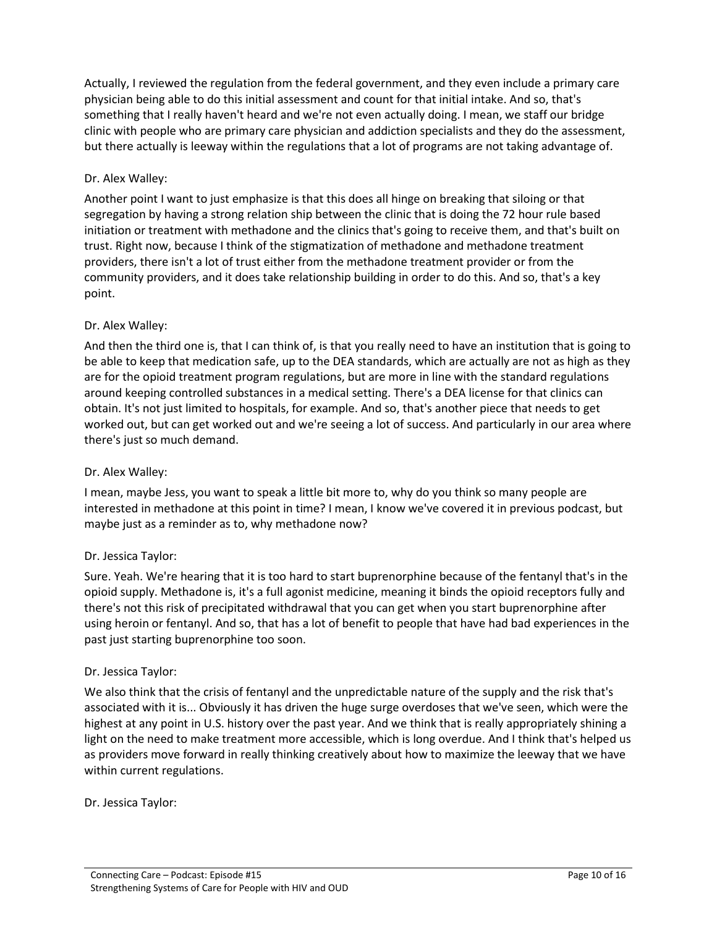Actually, I reviewed the regulation from the federal government, and they even include a primary care physician being able to do this initial assessment and count for that initial intake. And so, that's something that I really haven't heard and we're not even actually doing. I mean, we staff our bridge clinic with people who are primary care physician and addiction specialists and they do the assessment, but there actually is leeway within the regulations that a lot of programs are not taking advantage of.

## Dr. Alex Walley:

Another point I want to just emphasize is that this does all hinge on breaking that siloing or that segregation by having a strong relation ship between the clinic that is doing the 72 hour rule based initiation or treatment with methadone and the clinics that's going to receive them, and that's built on trust. Right now, because I think of the stigmatization of methadone and methadone treatment providers, there isn't a lot of trust either from the methadone treatment provider or from the community providers, and it does take relationship building in order to do this. And so, that's a key point.

### Dr. Alex Walley:

And then the third one is, that I can think of, is that you really need to have an institution that is going to be able to keep that medication safe, up to the DEA standards, which are actually are not as high as they are for the opioid treatment program regulations, but are more in line with the standard regulations around keeping controlled substances in a medical setting. There's a DEA license for that clinics can obtain. It's not just limited to hospitals, for example. And so, that's another piece that needs to get worked out, but can get worked out and we're seeing a lot of success. And particularly in our area where there's just so much demand.

#### Dr. Alex Walley:

I mean, maybe Jess, you want to speak a little bit more to, why do you think so many people are interested in methadone at this point in time? I mean, I know we've covered it in previous podcast, but maybe just as a reminder as to, why methadone now?

#### Dr. Jessica Taylor:

Sure. Yeah. We're hearing that it is too hard to start buprenorphine because of the fentanyl that's in the opioid supply. Methadone is, it's a full agonist medicine, meaning it binds the opioid receptors fully and there's not this risk of precipitated withdrawal that you can get when you start buprenorphine after using heroin or fentanyl. And so, that has a lot of benefit to people that have had bad experiences in the past just starting buprenorphine too soon.

#### Dr. Jessica Taylor:

We also think that the crisis of fentanyl and the unpredictable nature of the supply and the risk that's associated with it is... Obviously it has driven the huge surge overdoses that we've seen, which were the highest at any point in U.S. history over the past year. And we think that is really appropriately shining a light on the need to make treatment more accessible, which is long overdue. And I think that's helped us as providers move forward in really thinking creatively about how to maximize the leeway that we have within current regulations.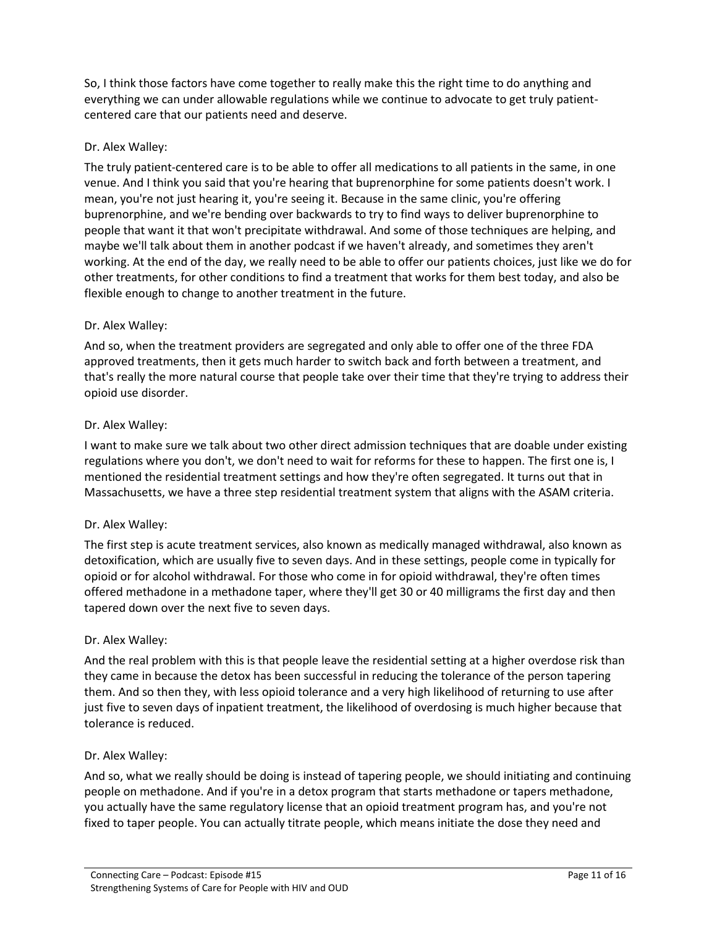So, I think those factors have come together to really make this the right time to do anything and everything we can under allowable regulations while we continue to advocate to get truly patientcentered care that our patients need and deserve.

## Dr. Alex Walley:

The truly patient-centered care is to be able to offer all medications to all patients in the same, in one venue. And I think you said that you're hearing that buprenorphine for some patients doesn't work. I mean, you're not just hearing it, you're seeing it. Because in the same clinic, you're offering buprenorphine, and we're bending over backwards to try to find ways to deliver buprenorphine to people that want it that won't precipitate withdrawal. And some of those techniques are helping, and maybe we'll talk about them in another podcast if we haven't already, and sometimes they aren't working. At the end of the day, we really need to be able to offer our patients choices, just like we do for other treatments, for other conditions to find a treatment that works for them best today, and also be flexible enough to change to another treatment in the future.

## Dr. Alex Walley:

And so, when the treatment providers are segregated and only able to offer one of the three FDA approved treatments, then it gets much harder to switch back and forth between a treatment, and that's really the more natural course that people take over their time that they're trying to address their opioid use disorder.

## Dr. Alex Walley:

I want to make sure we talk about two other direct admission techniques that are doable under existing regulations where you don't, we don't need to wait for reforms for these to happen. The first one is, I mentioned the residential treatment settings and how they're often segregated. It turns out that in Massachusetts, we have a three step residential treatment system that aligns with the ASAM criteria.

## Dr. Alex Walley:

The first step is acute treatment services, also known as medically managed withdrawal, also known as detoxification, which are usually five to seven days. And in these settings, people come in typically for opioid or for alcohol withdrawal. For those who come in for opioid withdrawal, they're often times offered methadone in a methadone taper, where they'll get 30 or 40 milligrams the first day and then tapered down over the next five to seven days.

## Dr. Alex Walley:

And the real problem with this is that people leave the residential setting at a higher overdose risk than they came in because the detox has been successful in reducing the tolerance of the person tapering them. And so then they, with less opioid tolerance and a very high likelihood of returning to use after just five to seven days of inpatient treatment, the likelihood of overdosing is much higher because that tolerance is reduced.

## Dr. Alex Walley:

And so, what we really should be doing is instead of tapering people, we should initiating and continuing people on methadone. And if you're in a detox program that starts methadone or tapers methadone, you actually have the same regulatory license that an opioid treatment program has, and you're not fixed to taper people. You can actually titrate people, which means initiate the dose they need and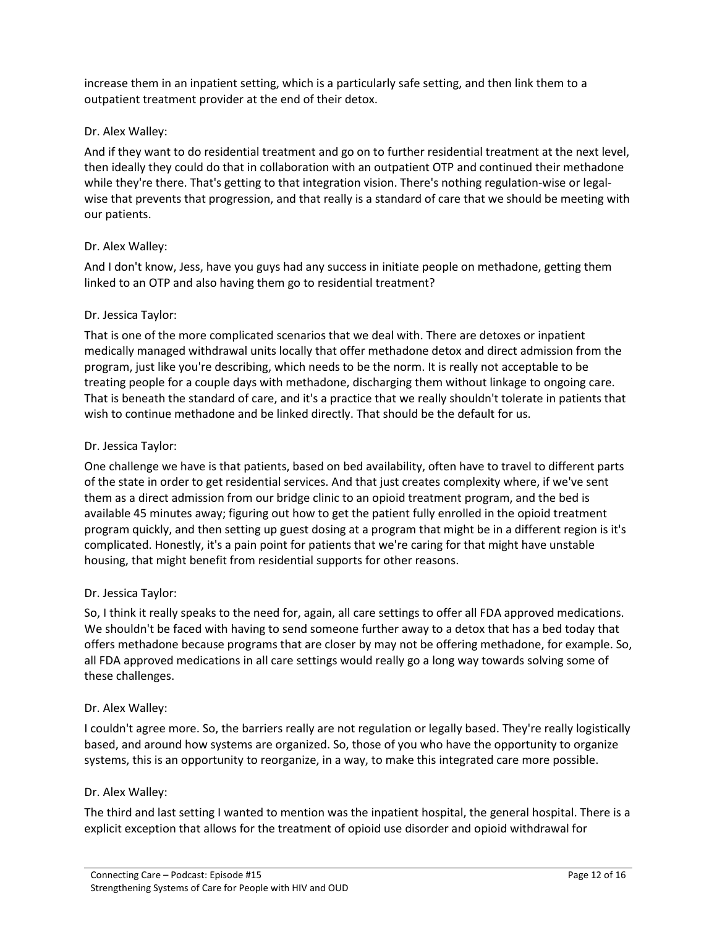increase them in an inpatient setting, which is a particularly safe setting, and then link them to a outpatient treatment provider at the end of their detox.

## Dr. Alex Walley:

And if they want to do residential treatment and go on to further residential treatment at the next level, then ideally they could do that in collaboration with an outpatient OTP and continued their methadone while they're there. That's getting to that integration vision. There's nothing regulation-wise or legalwise that prevents that progression, and that really is a standard of care that we should be meeting with our patients.

### Dr. Alex Walley:

And I don't know, Jess, have you guys had any success in initiate people on methadone, getting them linked to an OTP and also having them go to residential treatment?

### Dr. Jessica Taylor:

That is one of the more complicated scenarios that we deal with. There are detoxes or inpatient medically managed withdrawal units locally that offer methadone detox and direct admission from the program, just like you're describing, which needs to be the norm. It is really not acceptable to be treating people for a couple days with methadone, discharging them without linkage to ongoing care. That is beneath the standard of care, and it's a practice that we really shouldn't tolerate in patients that wish to continue methadone and be linked directly. That should be the default for us.

#### Dr. Jessica Taylor:

One challenge we have is that patients, based on bed availability, often have to travel to different parts of the state in order to get residential services. And that just creates complexity where, if we've sent them as a direct admission from our bridge clinic to an opioid treatment program, and the bed is available 45 minutes away; figuring out how to get the patient fully enrolled in the opioid treatment program quickly, and then setting up guest dosing at a program that might be in a different region is it's complicated. Honestly, it's a pain point for patients that we're caring for that might have unstable housing, that might benefit from residential supports for other reasons.

#### Dr. Jessica Taylor:

So, I think it really speaks to the need for, again, all care settings to offer all FDA approved medications. We shouldn't be faced with having to send someone further away to a detox that has a bed today that offers methadone because programs that are closer by may not be offering methadone, for example. So, all FDA approved medications in all care settings would really go a long way towards solving some of these challenges.

#### Dr. Alex Walley:

I couldn't agree more. So, the barriers really are not regulation or legally based. They're really logistically based, and around how systems are organized. So, those of you who have the opportunity to organize systems, this is an opportunity to reorganize, in a way, to make this integrated care more possible.

#### Dr. Alex Walley:

The third and last setting I wanted to mention was the inpatient hospital, the general hospital. There is a explicit exception that allows for the treatment of opioid use disorder and opioid withdrawal for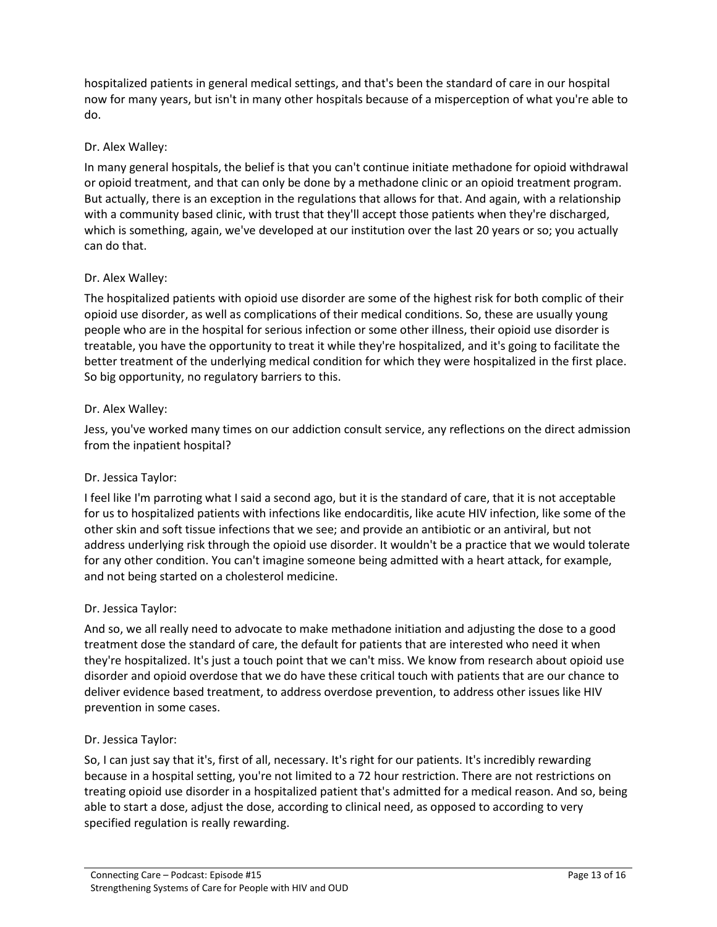hospitalized patients in general medical settings, and that's been the standard of care in our hospital now for many years, but isn't in many other hospitals because of a misperception of what you're able to do.

### Dr. Alex Walley:

In many general hospitals, the belief is that you can't continue initiate methadone for opioid withdrawal or opioid treatment, and that can only be done by a methadone clinic or an opioid treatment program. But actually, there is an exception in the regulations that allows for that. And again, with a relationship with a community based clinic, with trust that they'll accept those patients when they're discharged, which is something, again, we've developed at our institution over the last 20 years or so; you actually can do that.

### Dr. Alex Walley:

The hospitalized patients with opioid use disorder are some of the highest risk for both complic of their opioid use disorder, as well as complications of their medical conditions. So, these are usually young people who are in the hospital for serious infection or some other illness, their opioid use disorder is treatable, you have the opportunity to treat it while they're hospitalized, and it's going to facilitate the better treatment of the underlying medical condition for which they were hospitalized in the first place. So big opportunity, no regulatory barriers to this.

### Dr. Alex Walley:

Jess, you've worked many times on our addiction consult service, any reflections on the direct admission from the inpatient hospital?

#### Dr. Jessica Taylor:

I feel like I'm parroting what I said a second ago, but it is the standard of care, that it is not acceptable for us to hospitalized patients with infections like endocarditis, like acute HIV infection, like some of the other skin and soft tissue infections that we see; and provide an antibiotic or an antiviral, but not address underlying risk through the opioid use disorder. It wouldn't be a practice that we would tolerate for any other condition. You can't imagine someone being admitted with a heart attack, for example, and not being started on a cholesterol medicine.

#### Dr. Jessica Taylor:

And so, we all really need to advocate to make methadone initiation and adjusting the dose to a good treatment dose the standard of care, the default for patients that are interested who need it when they're hospitalized. It's just a touch point that we can't miss. We know from research about opioid use disorder and opioid overdose that we do have these critical touch with patients that are our chance to deliver evidence based treatment, to address overdose prevention, to address other issues like HIV prevention in some cases.

#### Dr. Jessica Taylor:

So, I can just say that it's, first of all, necessary. It's right for our patients. It's incredibly rewarding because in a hospital setting, you're not limited to a 72 hour restriction. There are not restrictions on treating opioid use disorder in a hospitalized patient that's admitted for a medical reason. And so, being able to start a dose, adjust the dose, according to clinical need, as opposed to according to very specified regulation is really rewarding.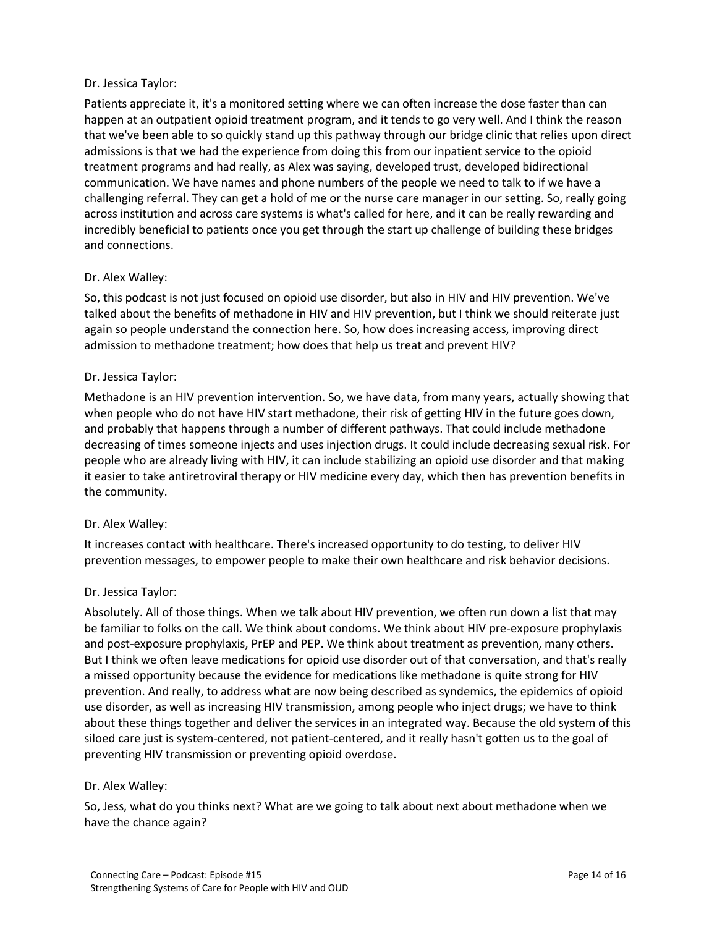### Dr. Jessica Taylor:

Patients appreciate it, it's a monitored setting where we can often increase the dose faster than can happen at an outpatient opioid treatment program, and it tends to go very well. And I think the reason that we've been able to so quickly stand up this pathway through our bridge clinic that relies upon direct admissions is that we had the experience from doing this from our inpatient service to the opioid treatment programs and had really, as Alex was saying, developed trust, developed bidirectional communication. We have names and phone numbers of the people we need to talk to if we have a challenging referral. They can get a hold of me or the nurse care manager in our setting. So, really going across institution and across care systems is what's called for here, and it can be really rewarding and incredibly beneficial to patients once you get through the start up challenge of building these bridges and connections.

### Dr. Alex Walley:

So, this podcast is not just focused on opioid use disorder, but also in HIV and HIV prevention. We've talked about the benefits of methadone in HIV and HIV prevention, but I think we should reiterate just again so people understand the connection here. So, how does increasing access, improving direct admission to methadone treatment; how does that help us treat and prevent HIV?

#### Dr. Jessica Taylor:

Methadone is an HIV prevention intervention. So, we have data, from many years, actually showing that when people who do not have HIV start methadone, their risk of getting HIV in the future goes down, and probably that happens through a number of different pathways. That could include methadone decreasing of times someone injects and uses injection drugs. It could include decreasing sexual risk. For people who are already living with HIV, it can include stabilizing an opioid use disorder and that making it easier to take antiretroviral therapy or HIV medicine every day, which then has prevention benefits in the community.

#### Dr. Alex Walley:

It increases contact with healthcare. There's increased opportunity to do testing, to deliver HIV prevention messages, to empower people to make their own healthcare and risk behavior decisions.

#### Dr. Jessica Taylor:

Absolutely. All of those things. When we talk about HIV prevention, we often run down a list that may be familiar to folks on the call. We think about condoms. We think about HIV pre-exposure prophylaxis and post-exposure prophylaxis, PrEP and PEP. We think about treatment as prevention, many others. But I think we often leave medications for opioid use disorder out of that conversation, and that's really a missed opportunity because the evidence for medications like methadone is quite strong for HIV prevention. And really, to address what are now being described as syndemics, the epidemics of opioid use disorder, as well as increasing HIV transmission, among people who inject drugs; we have to think about these things together and deliver the services in an integrated way. Because the old system of this siloed care just is system-centered, not patient-centered, and it really hasn't gotten us to the goal of preventing HIV transmission or preventing opioid overdose.

#### Dr. Alex Walley:

So, Jess, what do you thinks next? What are we going to talk about next about methadone when we have the chance again?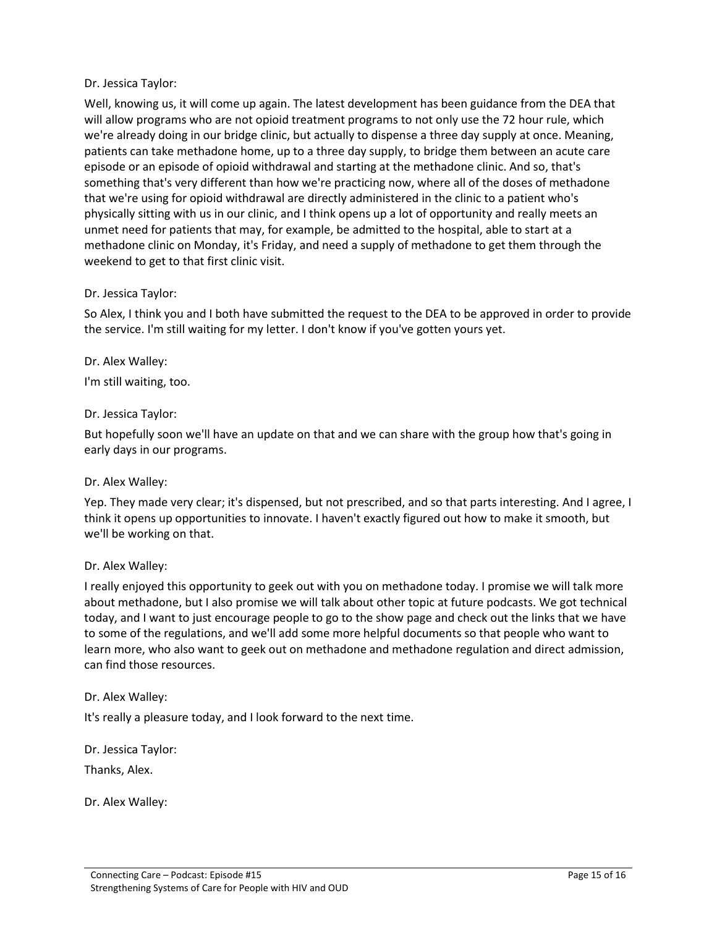### Dr. Jessica Taylor:

Well, knowing us, it will come up again. The latest development has been guidance from the DEA that will allow programs who are not opioid treatment programs to not only use the 72 hour rule, which we're already doing in our bridge clinic, but actually to dispense a three day supply at once. Meaning, patients can take methadone home, up to a three day supply, to bridge them between an acute care episode or an episode of opioid withdrawal and starting at the methadone clinic. And so, that's something that's very different than how we're practicing now, where all of the doses of methadone that we're using for opioid withdrawal are directly administered in the clinic to a patient who's physically sitting with us in our clinic, and I think opens up a lot of opportunity and really meets an unmet need for patients that may, for example, be admitted to the hospital, able to start at a methadone clinic on Monday, it's Friday, and need a supply of methadone to get them through the weekend to get to that first clinic visit.

#### Dr. Jessica Taylor:

So Alex, I think you and I both have submitted the request to the DEA to be approved in order to provide the service. I'm still waiting for my letter. I don't know if you've gotten yours yet.

Dr. Alex Walley:

I'm still waiting, too.

### Dr. Jessica Taylor:

But hopefully soon we'll have an update on that and we can share with the group how that's going in early days in our programs.

#### Dr. Alex Walley:

Yep. They made very clear; it's dispensed, but not prescribed, and so that parts interesting. And I agree, I think it opens up opportunities to innovate. I haven't exactly figured out how to make it smooth, but we'll be working on that.

#### Dr. Alex Walley:

I really enjoyed this opportunity to geek out with you on methadone today. I promise we will talk more about methadone, but I also promise we will talk about other topic at future podcasts. We got technical today, and I want to just encourage people to go to the show page and check out the links that we have to some of the regulations, and we'll add some more helpful documents so that people who want to learn more, who also want to geek out on methadone and methadone regulation and direct admission, can find those resources.

#### Dr. Alex Walley:

It's really a pleasure today, and I look forward to the next time.

Dr. Jessica Taylor:

Thanks, Alex.

Dr. Alex Walley: